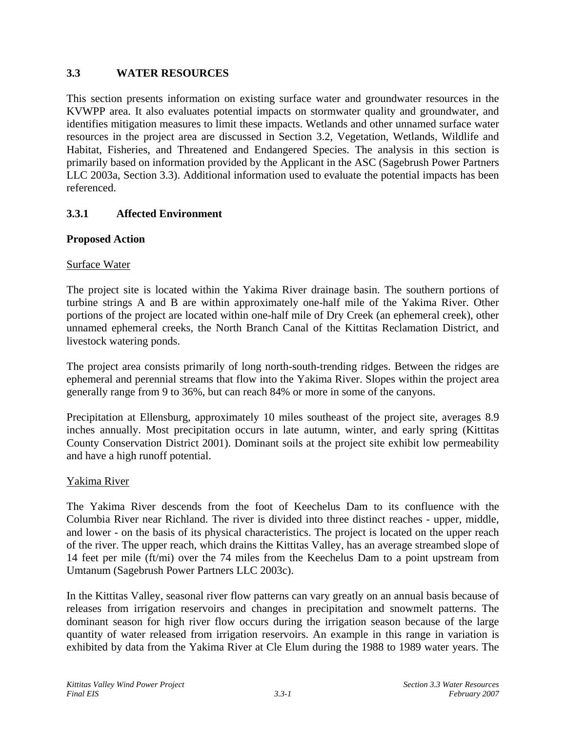# **3.3 WATER RESOURCES**

This section presents information on existing surface water and groundwater resources in the KVWPP area. It also evaluates potential impacts on stormwater quality and groundwater, and identifies mitigation measures to limit these impacts. Wetlands and other unnamed surface water resources in the project area are discussed in Section 3.2, Vegetation, Wetlands, Wildlife and Habitat, Fisheries, and Threatened and Endangered Species. The analysis in this section is primarily based on information provided by the Applicant in the ASC (Sagebrush Power Partners LLC 2003a, Section 3.3). Additional information used to evaluate the potential impacts has been referenced.

# **3.3.1 Affected Environment**

# **Proposed Action**

# Surface Water

The project site is located within the Yakima River drainage basin. The southern portions of turbine strings A and B are within approximately one-half mile of the Yakima River. Other portions of the project are located within one-half mile of Dry Creek (an ephemeral creek), other unnamed ephemeral creeks, the North Branch Canal of the Kittitas Reclamation District, and livestock watering ponds.

The project area consists primarily of long north-south-trending ridges. Between the ridges are ephemeral and perennial streams that flow into the Yakima River. Slopes within the project area generally range from 9 to 36%, but can reach 84% or more in some of the canyons.

Precipitation at Ellensburg, approximately 10 miles southeast of the project site, averages 8.9 inches annually. Most precipitation occurs in late autumn, winter, and early spring (Kittitas County Conservation District 2001). Dominant soils at the project site exhibit low permeability and have a high runoff potential.

# Yakima River

The Yakima River descends from the foot of Keechelus Dam to its confluence with the Columbia River near Richland. The river is divided into three distinct reaches - upper, middle, and lower - on the basis of its physical characteristics. The project is located on the upper reach of the river. The upper reach, which drains the Kittitas Valley, has an average streambed slope of 14 feet per mile (ft/mi) over the 74 miles from the Keechelus Dam to a point upstream from Umtanum (Sagebrush Power Partners LLC 2003c).

In the Kittitas Valley, seasonal river flow patterns can vary greatly on an annual basis because of releases from irrigation reservoirs and changes in precipitation and snowmelt patterns. The dominant season for high river flow occurs during the irrigation season because of the large quantity of water released from irrigation reservoirs. An example in this range in variation is exhibited by data from the Yakima River at Cle Elum during the 1988 to 1989 water years. The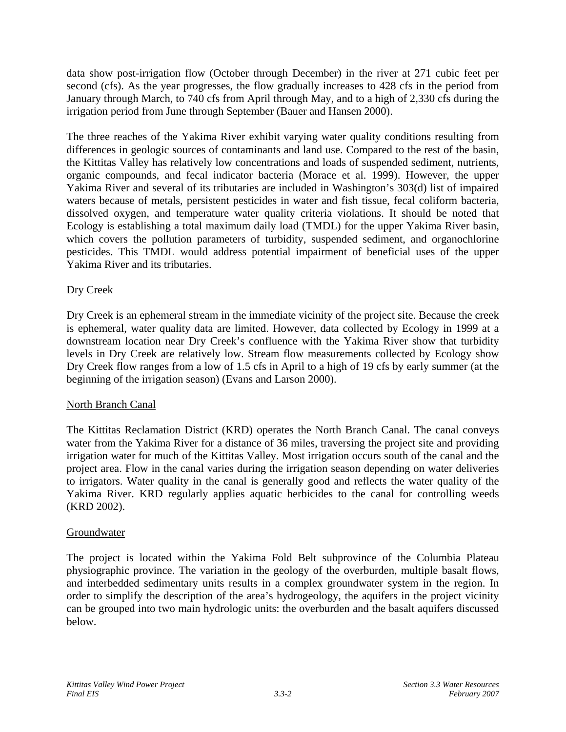data show post-irrigation flow (October through December) in the river at 271 cubic feet per second (cfs). As the year progresses, the flow gradually increases to 428 cfs in the period from January through March, to 740 cfs from April through May, and to a high of 2,330 cfs during the irrigation period from June through September (Bauer and Hansen 2000).

The three reaches of the Yakima River exhibit varying water quality conditions resulting from differences in geologic sources of contaminants and land use. Compared to the rest of the basin, the Kittitas Valley has relatively low concentrations and loads of suspended sediment, nutrients, organic compounds, and fecal indicator bacteria (Morace et al. 1999). However, the upper Yakima River and several of its tributaries are included in Washington's 303(d) list of impaired waters because of metals, persistent pesticides in water and fish tissue, fecal coliform bacteria, dissolved oxygen, and temperature water quality criteria violations. It should be noted that Ecology is establishing a total maximum daily load (TMDL) for the upper Yakima River basin, which covers the pollution parameters of turbidity, suspended sediment, and organochlorine pesticides. This TMDL would address potential impairment of beneficial uses of the upper Yakima River and its tributaries.

# Dry Creek

Dry Creek is an ephemeral stream in the immediate vicinity of the project site. Because the creek is ephemeral, water quality data are limited. However, data collected by Ecology in 1999 at a downstream location near Dry Creek's confluence with the Yakima River show that turbidity levels in Dry Creek are relatively low. Stream flow measurements collected by Ecology show Dry Creek flow ranges from a low of 1.5 cfs in April to a high of 19 cfs by early summer (at the beginning of the irrigation season) (Evans and Larson 2000).

# North Branch Canal

The Kittitas Reclamation District (KRD) operates the North Branch Canal. The canal conveys water from the Yakima River for a distance of 36 miles, traversing the project site and providing irrigation water for much of the Kittitas Valley. Most irrigation occurs south of the canal and the project area. Flow in the canal varies during the irrigation season depending on water deliveries to irrigators. Water quality in the canal is generally good and reflects the water quality of the Yakima River. KRD regularly applies aquatic herbicides to the canal for controlling weeds (KRD 2002).

# Groundwater

The project is located within the Yakima Fold Belt subprovince of the Columbia Plateau physiographic province. The variation in the geology of the overburden, multiple basalt flows, and interbedded sedimentary units results in a complex groundwater system in the region. In order to simplify the description of the area's hydrogeology, the aquifers in the project vicinity can be grouped into two main hydrologic units: the overburden and the basalt aquifers discussed below.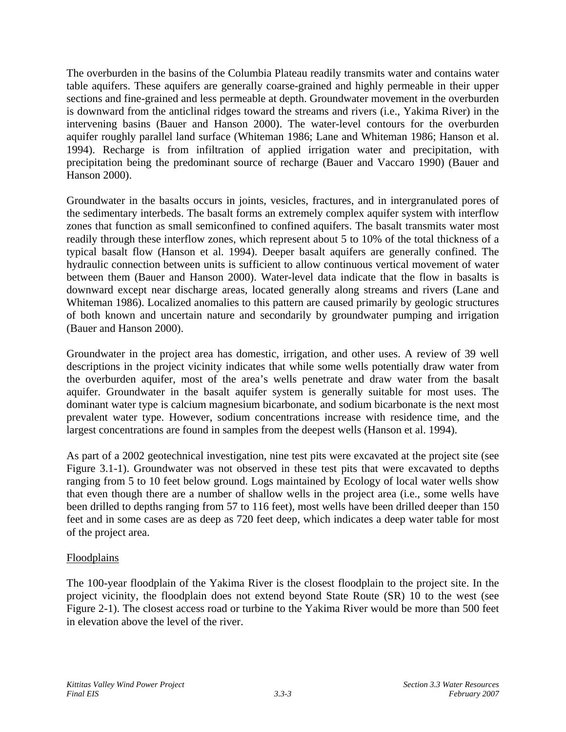The overburden in the basins of the Columbia Plateau readily transmits water and contains water table aquifers. These aquifers are generally coarse-grained and highly permeable in their upper sections and fine-grained and less permeable at depth. Groundwater movement in the overburden is downward from the anticlinal ridges toward the streams and rivers (i.e., Yakima River) in the intervening basins (Bauer and Hanson 2000). The water-level contours for the overburden aquifer roughly parallel land surface (Whiteman 1986; Lane and Whiteman 1986; Hanson et al. 1994). Recharge is from infiltration of applied irrigation water and precipitation, with precipitation being the predominant source of recharge (Bauer and Vaccaro 1990) (Bauer and Hanson 2000).

Groundwater in the basalts occurs in joints, vesicles, fractures, and in intergranulated pores of the sedimentary interbeds. The basalt forms an extremely complex aquifer system with interflow zones that function as small semiconfined to confined aquifers. The basalt transmits water most readily through these interflow zones, which represent about 5 to 10% of the total thickness of a typical basalt flow (Hanson et al. 1994). Deeper basalt aquifers are generally confined. The hydraulic connection between units is sufficient to allow continuous vertical movement of water between them (Bauer and Hanson 2000). Water-level data indicate that the flow in basalts is downward except near discharge areas, located generally along streams and rivers (Lane and Whiteman 1986). Localized anomalies to this pattern are caused primarily by geologic structures of both known and uncertain nature and secondarily by groundwater pumping and irrigation (Bauer and Hanson 2000).

Groundwater in the project area has domestic, irrigation, and other uses. A review of 39 well descriptions in the project vicinity indicates that while some wells potentially draw water from the overburden aquifer, most of the area's wells penetrate and draw water from the basalt aquifer. Groundwater in the basalt aquifer system is generally suitable for most uses. The dominant water type is calcium magnesium bicarbonate, and sodium bicarbonate is the next most prevalent water type. However, sodium concentrations increase with residence time, and the largest concentrations are found in samples from the deepest wells (Hanson et al. 1994).

As part of a 2002 geotechnical investigation, nine test pits were excavated at the project site (see Figure 3.1-1). Groundwater was not observed in these test pits that were excavated to depths ranging from 5 to 10 feet below ground. Logs maintained by Ecology of local water wells show that even though there are a number of shallow wells in the project area (i.e., some wells have been drilled to depths ranging from 57 to 116 feet), most wells have been drilled deeper than 150 feet and in some cases are as deep as 720 feet deep, which indicates a deep water table for most of the project area.

# Floodplains

The 100-year floodplain of the Yakima River is the closest floodplain to the project site. In the project vicinity, the floodplain does not extend beyond State Route (SR) 10 to the west (see Figure 2-1). The closest access road or turbine to the Yakima River would be more than 500 feet in elevation above the level of the river.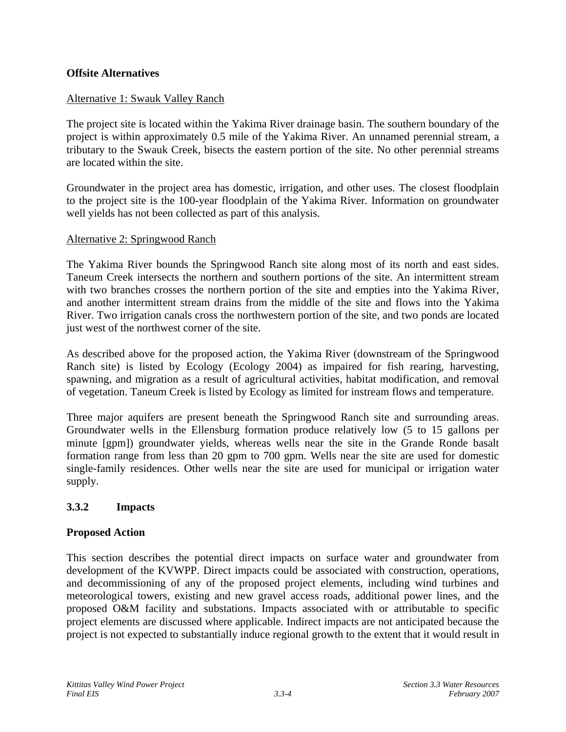### **Offsite Alternatives**

### Alternative 1: Swauk Valley Ranch

The project site is located within the Yakima River drainage basin. The southern boundary of the project is within approximately 0.5 mile of the Yakima River. An unnamed perennial stream, a tributary to the Swauk Creek, bisects the eastern portion of the site. No other perennial streams are located within the site.

Groundwater in the project area has domestic, irrigation, and other uses. The closest floodplain to the project site is the 100-year floodplain of the Yakima River. Information on groundwater well yields has not been collected as part of this analysis.

#### Alternative 2: Springwood Ranch

The Yakima River bounds the Springwood Ranch site along most of its north and east sides. Taneum Creek intersects the northern and southern portions of the site. An intermittent stream with two branches crosses the northern portion of the site and empties into the Yakima River, and another intermittent stream drains from the middle of the site and flows into the Yakima River. Two irrigation canals cross the northwestern portion of the site, and two ponds are located just west of the northwest corner of the site.

As described above for the proposed action, the Yakima River (downstream of the Springwood Ranch site) is listed by Ecology (Ecology 2004) as impaired for fish rearing, harvesting, spawning, and migration as a result of agricultural activities, habitat modification, and removal of vegetation. Taneum Creek is listed by Ecology as limited for instream flows and temperature.

Three major aquifers are present beneath the Springwood Ranch site and surrounding areas. Groundwater wells in the Ellensburg formation produce relatively low (5 to 15 gallons per minute [gpm]) groundwater yields, whereas wells near the site in the Grande Ronde basalt formation range from less than 20 gpm to 700 gpm. Wells near the site are used for domestic single-family residences. Other wells near the site are used for municipal or irrigation water supply.

# **3.3.2 Impacts**

#### **Proposed Action**

This section describes the potential direct impacts on surface water and groundwater from development of the KVWPP. Direct impacts could be associated with construction, operations, and decommissioning of any of the proposed project elements, including wind turbines and meteorological towers, existing and new gravel access roads, additional power lines, and the proposed O&M facility and substations. Impacts associated with or attributable to specific project elements are discussed where applicable. Indirect impacts are not anticipated because the project is not expected to substantially induce regional growth to the extent that it would result in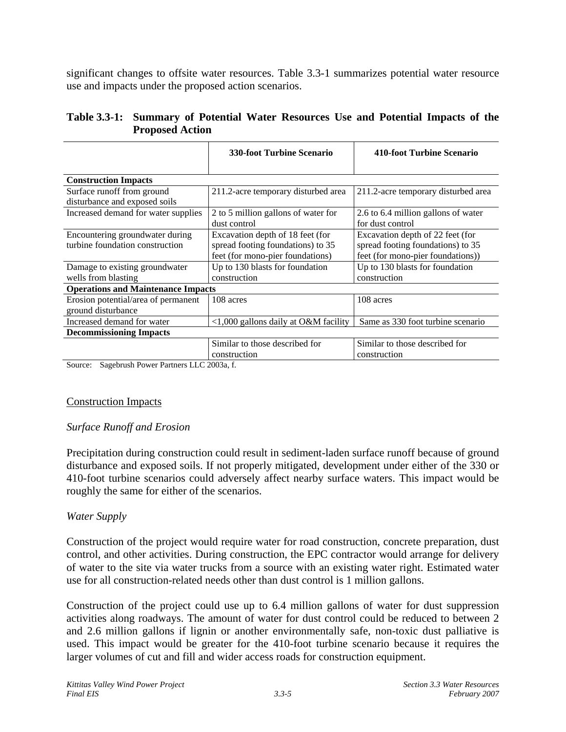significant changes to offsite water resources. Table 3.3-1 summarizes potential water resource use and impacts under the proposed action scenarios.

| Table 3.3-1: Summary of Potential Water Resources Use and Potential Impacts of the |  |  |  |
|------------------------------------------------------------------------------------|--|--|--|
| <b>Proposed Action</b>                                                             |  |  |  |

|                                                                    | <b>330-foot Turbine Scenario</b>                                                                          | 410-foot Turbine Scenario                                                                                  |
|--------------------------------------------------------------------|-----------------------------------------------------------------------------------------------------------|------------------------------------------------------------------------------------------------------------|
| <b>Construction Impacts</b>                                        |                                                                                                           |                                                                                                            |
| Surface runoff from ground<br>disturbance and exposed soils        | 211.2-acre temporary disturbed area                                                                       | 211.2-acre temporary disturbed area                                                                        |
| Increased demand for water supplies                                | 2 to 5 million gallons of water for<br>dust control                                                       | 2.6 to 6.4 million gallons of water<br>for dust control                                                    |
| Encountering groundwater during<br>turbine foundation construction | Excavation depth of 18 feet (for<br>spread footing foundations) to 35<br>feet (for mono-pier foundations) | Excavation depth of 22 feet (for<br>spread footing foundations) to 35<br>feet (for mono-pier foundations)) |
| Damage to existing groundwater<br>wells from blasting              | Up to 130 blasts for foundation<br>construction                                                           | Up to 130 blasts for foundation<br>construction                                                            |
| <b>Operations and Maintenance Impacts</b>                          |                                                                                                           |                                                                                                            |
| Erosion potential/area of permanent<br>ground disturbance          | 108 acres                                                                                                 | 108 acres                                                                                                  |
| Increased demand for water                                         | <1,000 gallons daily at O&M facility                                                                      | Same as 330 foot turbine scenario                                                                          |
| <b>Decommissioning Impacts</b>                                     |                                                                                                           |                                                                                                            |
| Sagebrush Power Partners LLC 2003a f<br>Source <sup>2</sup>        | Similar to those described for<br>construction                                                            | Similar to those described for<br>construction                                                             |

Sagebrush Power Partners LLC 2003a, f.

#### Construction Impacts

# *Surface Runoff and Erosion*

Precipitation during construction could result in sediment-laden surface runoff because of ground disturbance and exposed soils. If not properly mitigated, development under either of the 330 or 410-foot turbine scenarios could adversely affect nearby surface waters. This impact would be roughly the same for either of the scenarios.

# *Water Supply*

Construction of the project would require water for road construction, concrete preparation, dust control, and other activities. During construction, the EPC contractor would arrange for delivery of water to the site via water trucks from a source with an existing water right. Estimated water use for all construction-related needs other than dust control is 1 million gallons.

Construction of the project could use up to 6.4 million gallons of water for dust suppression activities along roadways. The amount of water for dust control could be reduced to between 2 and 2.6 million gallons if lignin or another environmentally safe, non-toxic dust palliative is used. This impact would be greater for the 410-foot turbine scenario because it requires the larger volumes of cut and fill and wider access roads for construction equipment.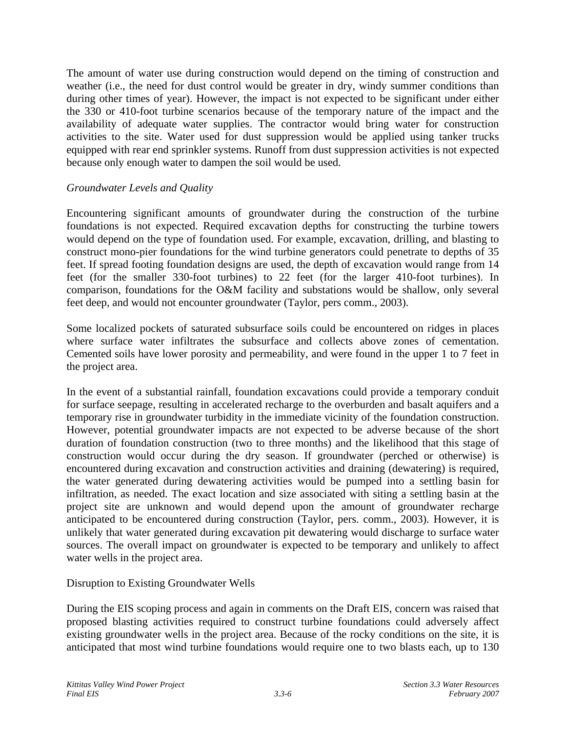The amount of water use during construction would depend on the timing of construction and weather (i.e., the need for dust control would be greater in dry, windy summer conditions than during other times of year). However, the impact is not expected to be significant under either the 330 or 410-foot turbine scenarios because of the temporary nature of the impact and the availability of adequate water supplies. The contractor would bring water for construction activities to the site. Water used for dust suppression would be applied using tanker trucks equipped with rear end sprinkler systems. Runoff from dust suppression activities is not expected because only enough water to dampen the soil would be used.

# *Groundwater Levels and Quality*

Encountering significant amounts of groundwater during the construction of the turbine foundations is not expected. Required excavation depths for constructing the turbine towers would depend on the type of foundation used. For example, excavation, drilling, and blasting to construct mono-pier foundations for the wind turbine generators could penetrate to depths of 35 feet. If spread footing foundation designs are used, the depth of excavation would range from 14 feet (for the smaller 330-foot turbines) to 22 feet (for the larger 410-foot turbines). In comparison, foundations for the O&M facility and substations would be shallow, only several feet deep, and would not encounter groundwater (Taylor, pers comm., 2003).

Some localized pockets of saturated subsurface soils could be encountered on ridges in places where surface water infiltrates the subsurface and collects above zones of cementation. Cemented soils have lower porosity and permeability, and were found in the upper 1 to 7 feet in the project area.

In the event of a substantial rainfall, foundation excavations could provide a temporary conduit for surface seepage, resulting in accelerated recharge to the overburden and basalt aquifers and a temporary rise in groundwater turbidity in the immediate vicinity of the foundation construction. However, potential groundwater impacts are not expected to be adverse because of the short duration of foundation construction (two to three months) and the likelihood that this stage of construction would occur during the dry season. If groundwater (perched or otherwise) is encountered during excavation and construction activities and draining (dewatering) is required, the water generated during dewatering activities would be pumped into a settling basin for infiltration, as needed. The exact location and size associated with siting a settling basin at the project site are unknown and would depend upon the amount of groundwater recharge anticipated to be encountered during construction (Taylor, pers. comm., 2003). However, it is unlikely that water generated during excavation pit dewatering would discharge to surface water sources. The overall impact on groundwater is expected to be temporary and unlikely to affect water wells in the project area.

# Disruption to Existing Groundwater Wells

During the EIS scoping process and again in comments on the Draft EIS, concern was raised that proposed blasting activities required to construct turbine foundations could adversely affect existing groundwater wells in the project area. Because of the rocky conditions on the site, it is anticipated that most wind turbine foundations would require one to two blasts each, up to 130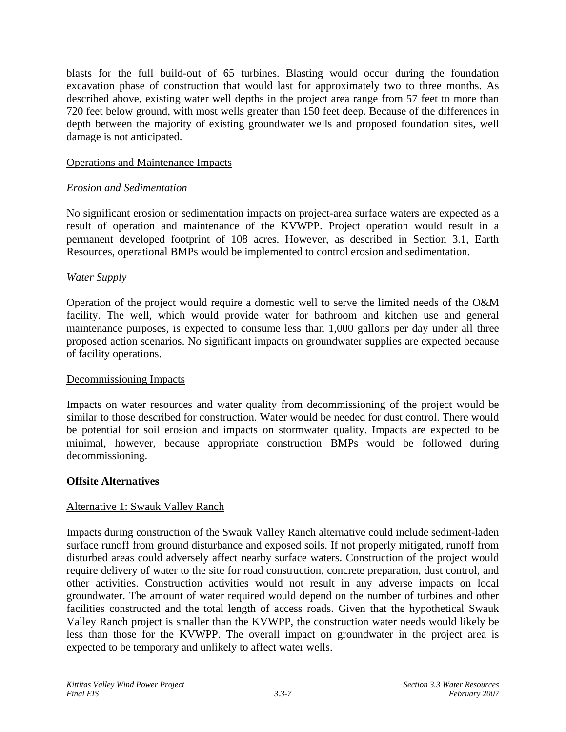blasts for the full build-out of 65 turbines. Blasting would occur during the foundation excavation phase of construction that would last for approximately two to three months. As described above, existing water well depths in the project area range from 57 feet to more than 720 feet below ground, with most wells greater than 150 feet deep. Because of the differences in depth between the majority of existing groundwater wells and proposed foundation sites, well damage is not anticipated.

### Operations and Maintenance Impacts

### *Erosion and Sedimentation*

No significant erosion or sedimentation impacts on project-area surface waters are expected as a result of operation and maintenance of the KVWPP. Project operation would result in a permanent developed footprint of 108 acres. However, as described in Section 3.1, Earth Resources, operational BMPs would be implemented to control erosion and sedimentation.

### *Water Supply*

Operation of the project would require a domestic well to serve the limited needs of the O&M facility. The well, which would provide water for bathroom and kitchen use and general maintenance purposes, is expected to consume less than 1,000 gallons per day under all three proposed action scenarios. No significant impacts on groundwater supplies are expected because of facility operations.

#### Decommissioning Impacts

Impacts on water resources and water quality from decommissioning of the project would be similar to those described for construction. Water would be needed for dust control. There would be potential for soil erosion and impacts on stormwater quality. Impacts are expected to be minimal, however, because appropriate construction BMPs would be followed during decommissioning.

#### **Offsite Alternatives**

# Alternative 1: Swauk Valley Ranch

Impacts during construction of the Swauk Valley Ranch alternative could include sediment-laden surface runoff from ground disturbance and exposed soils. If not properly mitigated, runoff from disturbed areas could adversely affect nearby surface waters. Construction of the project would require delivery of water to the site for road construction, concrete preparation, dust control, and other activities. Construction activities would not result in any adverse impacts on local groundwater. The amount of water required would depend on the number of turbines and other facilities constructed and the total length of access roads. Given that the hypothetical Swauk Valley Ranch project is smaller than the KVWPP, the construction water needs would likely be less than those for the KVWPP. The overall impact on groundwater in the project area is expected to be temporary and unlikely to affect water wells.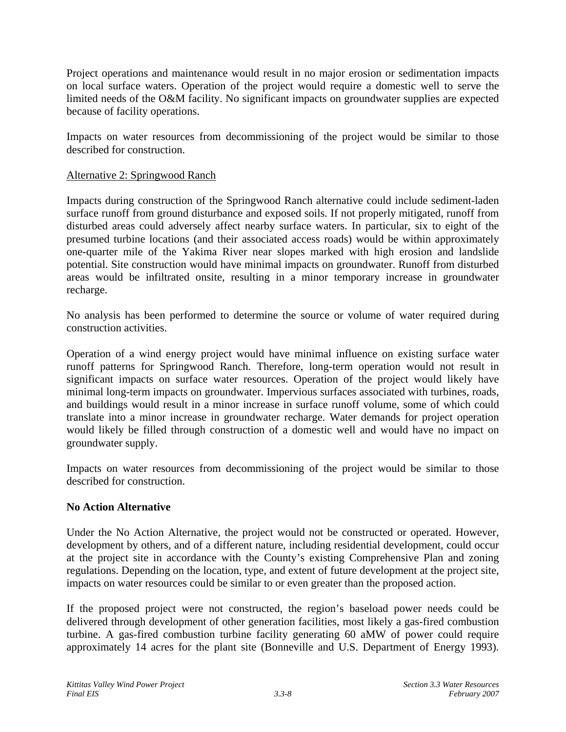Project operations and maintenance would result in no major erosion or sedimentation impacts on local surface waters. Operation of the project would require a domestic well to serve the limited needs of the O&M facility. No significant impacts on groundwater supplies are expected because of facility operations.

Impacts on water resources from decommissioning of the project would be similar to those described for construction.

### Alternative 2: Springwood Ranch

Impacts during construction of the Springwood Ranch alternative could include sediment-laden surface runoff from ground disturbance and exposed soils. If not properly mitigated, runoff from disturbed areas could adversely affect nearby surface waters. In particular, six to eight of the presumed turbine locations (and their associated access roads) would be within approximately one-quarter mile of the Yakima River near slopes marked with high erosion and landslide potential. Site construction would have minimal impacts on groundwater. Runoff from disturbed areas would be infiltrated onsite, resulting in a minor temporary increase in groundwater recharge.

No analysis has been performed to determine the source or volume of water required during construction activities.

Operation of a wind energy project would have minimal influence on existing surface water runoff patterns for Springwood Ranch. Therefore, long-term operation would not result in significant impacts on surface water resources. Operation of the project would likely have minimal long-term impacts on groundwater. Impervious surfaces associated with turbines, roads, and buildings would result in a minor increase in surface runoff volume, some of which could translate into a minor increase in groundwater recharge. Water demands for project operation would likely be filled through construction of a domestic well and would have no impact on groundwater supply.

Impacts on water resources from decommissioning of the project would be similar to those described for construction.

#### **No Action Alternative**

Under the No Action Alternative, the project would not be constructed or operated. However, development by others, and of a different nature, including residential development, could occur at the project site in accordance with the County's existing Comprehensive Plan and zoning regulations. Depending on the location, type, and extent of future development at the project site, impacts on water resources could be similar to or even greater than the proposed action.

If the proposed project were not constructed, the region's baseload power needs could be delivered through development of other generation facilities, most likely a gas-fired combustion turbine. A gas-fired combustion turbine facility generating 60 aMW of power could require approximately 14 acres for the plant site (Bonneville and U.S. Department of Energy 1993).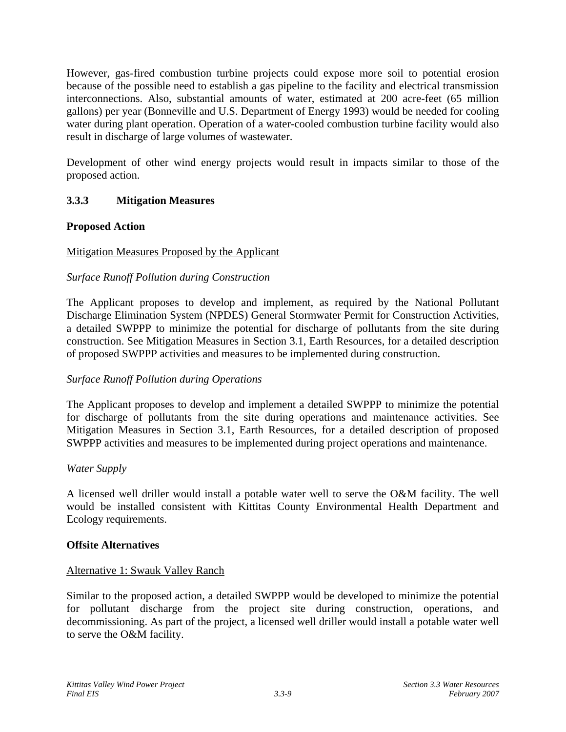However, gas-fired combustion turbine projects could expose more soil to potential erosion because of the possible need to establish a gas pipeline to the facility and electrical transmission interconnections. Also, substantial amounts of water, estimated at 200 acre-feet (65 million gallons) per year (Bonneville and U.S. Department of Energy 1993) would be needed for cooling water during plant operation. Operation of a water-cooled combustion turbine facility would also result in discharge of large volumes of wastewater.

Development of other wind energy projects would result in impacts similar to those of the proposed action.

# **3.3.3 Mitigation Measures**

# **Proposed Action**

# Mitigation Measures Proposed by the Applicant

# *Surface Runoff Pollution during Construction*

The Applicant proposes to develop and implement, as required by the National Pollutant Discharge Elimination System (NPDES) General Stormwater Permit for Construction Activities, a detailed SWPPP to minimize the potential for discharge of pollutants from the site during construction. See Mitigation Measures in Section 3.1, Earth Resources, for a detailed description of proposed SWPPP activities and measures to be implemented during construction.

# *Surface Runoff Pollution during Operations*

The Applicant proposes to develop and implement a detailed SWPPP to minimize the potential for discharge of pollutants from the site during operations and maintenance activities. See Mitigation Measures in Section 3.1, Earth Resources, for a detailed description of proposed SWPPP activities and measures to be implemented during project operations and maintenance.

# *Water Supply*

A licensed well driller would install a potable water well to serve the O&M facility. The well would be installed consistent with Kittitas County Environmental Health Department and Ecology requirements.

# **Offsite Alternatives**

# Alternative 1: Swauk Valley Ranch

Similar to the proposed action, a detailed SWPPP would be developed to minimize the potential for pollutant discharge from the project site during construction, operations, and decommissioning. As part of the project, a licensed well driller would install a potable water well to serve the O&M facility.